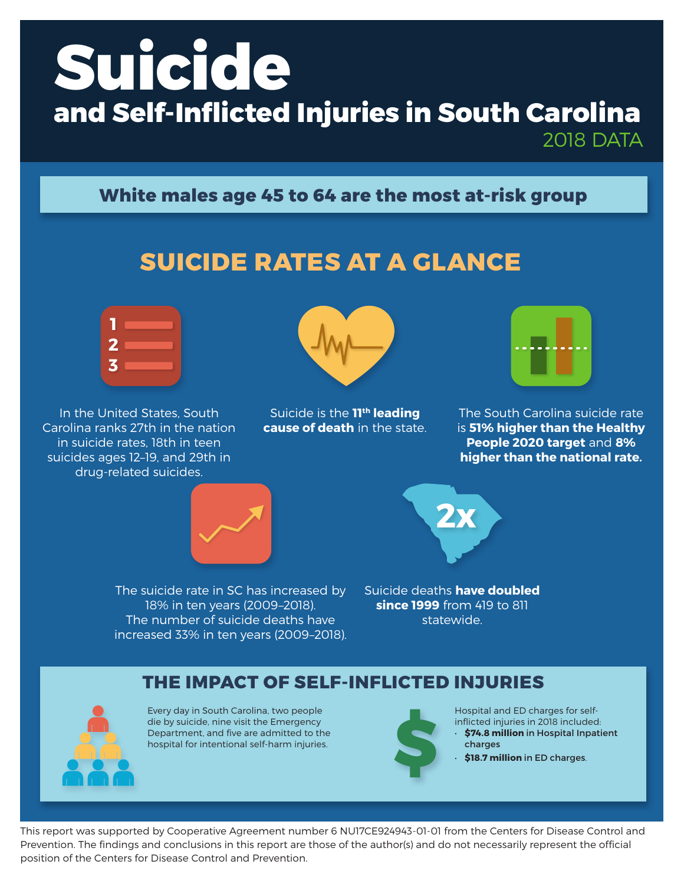# **Suicide and Self-Inflicted Injuries in South Carolina**

2018 DATA

## **White males age 45 to 64 are the most at-risk group**

# **SUICIDE RATES AT A GLANCE**



In the United States, South Carolina ranks 27th in the nation in suicide rates, 18th in teen suicides ages 12–19, and 29th in drug-related suicides.



Suicide is the **11th leading cause of death** in the state.



The South Carolina suicide rate is **51% higher than the Healthy People 2020 target** and **8% higher than the national rate.**





The suicide rate in SC has increased by 18% in ten years (2009–2018). The number of suicide deaths have increased 33% in ten years (2009–2018). Suicide deaths **have doubled since 1999** from 419 to 811 statewide.

#### **THE IMPACT OF SELF-INFLICTED INJURIES**



Every day in South Carolina, two people die by suicide, nine visit the Emergency Department, and five are admitted to the hospital for intentional self-harm injuries.



Hospital and ED charges for selfinflicted injuries in 2018 included: • **\$74.8 million** in Hospital Inpatient inflicted injuries in 2018 include<br> **\$74.8 million** in Hospital Incharges<br> **\$18.7 million** in ED charges.

This report was supported by Cooperative Agreement number 6 NU17CE924943-01-01 from the Centers for Disease Control and Prevention. The findings and conclusions in this report are those of the author(s) and do not necessarily represent the official position of the Centers for Disease Control and Prevention.